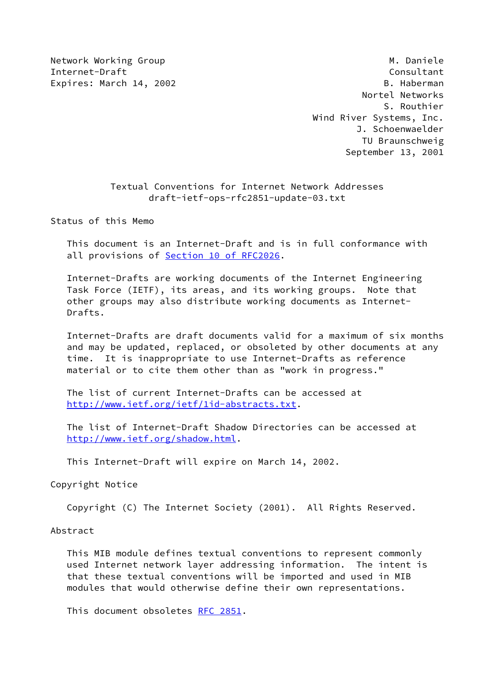Network Working Group Manuscript Communication of the Muslim Muslim Muslim Muslim Muslim Muslim Muslim Muslim M Internet-Draft Consultant Expires: March 14, 2002 **B. Haberman**  Nortel Networks S. Routhier Wind River Systems, Inc. J. Schoenwaelder TU Braunschweig September 13, 2001

# Textual Conventions for Internet Network Addresses draft-ietf-ops-rfc2851-update-03.txt

Status of this Memo

 This document is an Internet-Draft and is in full conformance with all provisions of Section [10 of RFC2026.](https://datatracker.ietf.org/doc/pdf/rfc2026#section-10)

 Internet-Drafts are working documents of the Internet Engineering Task Force (IETF), its areas, and its working groups. Note that other groups may also distribute working documents as Internet- Drafts.

 Internet-Drafts are draft documents valid for a maximum of six months and may be updated, replaced, or obsoleted by other documents at any time. It is inappropriate to use Internet-Drafts as reference material or to cite them other than as "work in progress."

 The list of current Internet-Drafts can be accessed at <http://www.ietf.org/ietf/1id-abstracts.txt>.

 The list of Internet-Draft Shadow Directories can be accessed at <http://www.ietf.org/shadow.html>.

This Internet-Draft will expire on March 14, 2002.

Copyright Notice

Copyright (C) The Internet Society (2001). All Rights Reserved.

Abstract

 This MIB module defines textual conventions to represent commonly used Internet network layer addressing information. The intent is that these textual conventions will be imported and used in MIB modules that would otherwise define their own representations.

This document obsoletes [RFC 2851](https://datatracker.ietf.org/doc/pdf/rfc2851).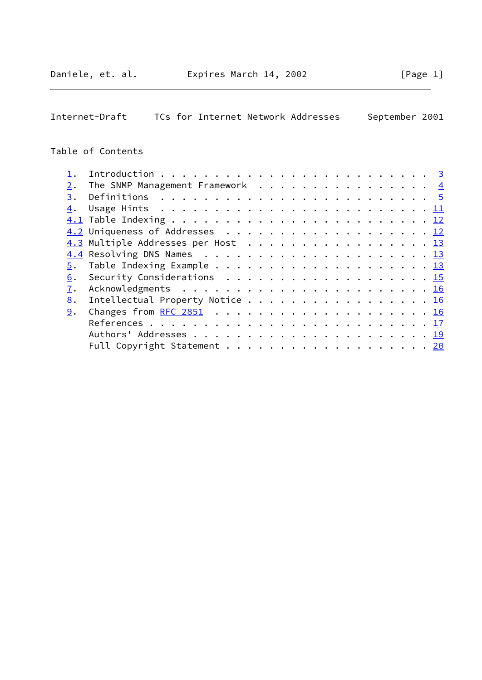$\overline{\phantom{0}}$ 

Internet-Draft TCs for Internet Network Addresses September 2001

# Table of Contents

| 2. | The SNMP Management Framework $\cdots$ 4                                                           |  |  |  |  |  |  |  |  |  |
|----|----------------------------------------------------------------------------------------------------|--|--|--|--|--|--|--|--|--|
| 3. |                                                                                                    |  |  |  |  |  |  |  |  |  |
| 4. | Usage Hints $\ldots \ldots \ldots \ldots \ldots \ldots \ldots \ldots \ldots \ldots \underline{11}$ |  |  |  |  |  |  |  |  |  |
|    |                                                                                                    |  |  |  |  |  |  |  |  |  |
|    |                                                                                                    |  |  |  |  |  |  |  |  |  |
|    | 4.3 Multiple Addresses per Host 13                                                                 |  |  |  |  |  |  |  |  |  |
|    |                                                                                                    |  |  |  |  |  |  |  |  |  |
|    |                                                                                                    |  |  |  |  |  |  |  |  |  |
| 6. | Security Considerations $\ldots \ldots \ldots \ldots \ldots \ldots \ldots \frac{15}{15}$           |  |  |  |  |  |  |  |  |  |
| 7. |                                                                                                    |  |  |  |  |  |  |  |  |  |
| 8. | Intellectual Property Notice 16                                                                    |  |  |  |  |  |  |  |  |  |
| 9. |                                                                                                    |  |  |  |  |  |  |  |  |  |
|    |                                                                                                    |  |  |  |  |  |  |  |  |  |
|    |                                                                                                    |  |  |  |  |  |  |  |  |  |
|    | Full Copyright Statement 20                                                                        |  |  |  |  |  |  |  |  |  |
|    |                                                                                                    |  |  |  |  |  |  |  |  |  |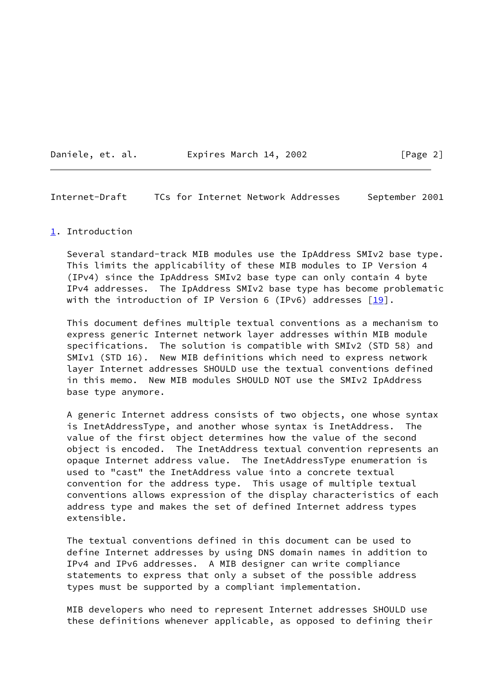Daniele, et. al. **Expires March 14, 2002** [Page 2]

<span id="page-2-1"></span>Internet-Draft TCs for Internet Network Addresses September 2001

### <span id="page-2-0"></span>[1](#page-2-0). Introduction

 Several standard-track MIB modules use the IpAddress SMIv2 base type. This limits the applicability of these MIB modules to IP Version 4 (IPv4) since the IpAddress SMIv2 base type can only contain 4 byte IPv4 addresses. The IpAddress SMIv2 base type has become problematic with the introduction of IP Version 6 (IPv6) addresses  $[19]$  $[19]$ .

 This document defines multiple textual conventions as a mechanism to express generic Internet network layer addresses within MIB module specifications. The solution is compatible with SMIv2 (STD 58) and SMIv1 (STD 16). New MIB definitions which need to express network layer Internet addresses SHOULD use the textual conventions defined in this memo. New MIB modules SHOULD NOT use the SMIv2 IpAddress base type anymore.

 A generic Internet address consists of two objects, one whose syntax is InetAddressType, and another whose syntax is InetAddress. The value of the first object determines how the value of the second object is encoded. The InetAddress textual convention represents an opaque Internet address value. The InetAddressType enumeration is used to "cast" the InetAddress value into a concrete textual convention for the address type. This usage of multiple textual conventions allows expression of the display characteristics of each address type and makes the set of defined Internet address types extensible.

 The textual conventions defined in this document can be used to define Internet addresses by using DNS domain names in addition to IPv4 and IPv6 addresses. A MIB designer can write compliance statements to express that only a subset of the possible address types must be supported by a compliant implementation.

 MIB developers who need to represent Internet addresses SHOULD use these definitions whenever applicable, as opposed to defining their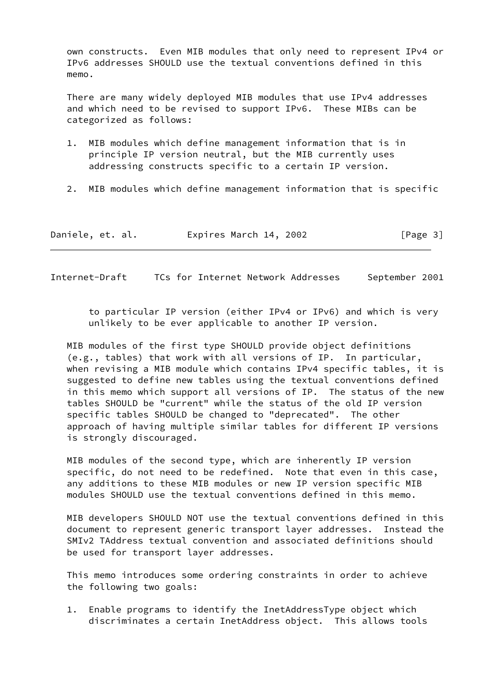own constructs. Even MIB modules that only need to represent IPv4 or IPv6 addresses SHOULD use the textual conventions defined in this memo.

 There are many widely deployed MIB modules that use IPv4 addresses and which need to be revised to support IPv6. These MIBs can be categorized as follows:

- 1. MIB modules which define management information that is in principle IP version neutral, but the MIB currently uses addressing constructs specific to a certain IP version.
- 2. MIB modules which define management information that is specific

| Daniele, et. al. | Expires March 14, 2002 | [Page 3] |
|------------------|------------------------|----------|
|------------------|------------------------|----------|

<span id="page-3-0"></span>Internet-Draft TCs for Internet Network Addresses September 2001

 to particular IP version (either IPv4 or IPv6) and which is very unlikely to be ever applicable to another IP version.

 MIB modules of the first type SHOULD provide object definitions (e.g., tables) that work with all versions of IP. In particular, when revising a MIB module which contains IPv4 specific tables, it is suggested to define new tables using the textual conventions defined in this memo which support all versions of IP. The status of the new tables SHOULD be "current" while the status of the old IP version specific tables SHOULD be changed to "deprecated". The other approach of having multiple similar tables for different IP versions is strongly discouraged.

 MIB modules of the second type, which are inherently IP version specific, do not need to be redefined. Note that even in this case, any additions to these MIB modules or new IP version specific MIB modules SHOULD use the textual conventions defined in this memo.

 MIB developers SHOULD NOT use the textual conventions defined in this document to represent generic transport layer addresses. Instead the SMIv2 TAddress textual convention and associated definitions should be used for transport layer addresses.

 This memo introduces some ordering constraints in order to achieve the following two goals:

 1. Enable programs to identify the InetAddressType object which discriminates a certain InetAddress object. This allows tools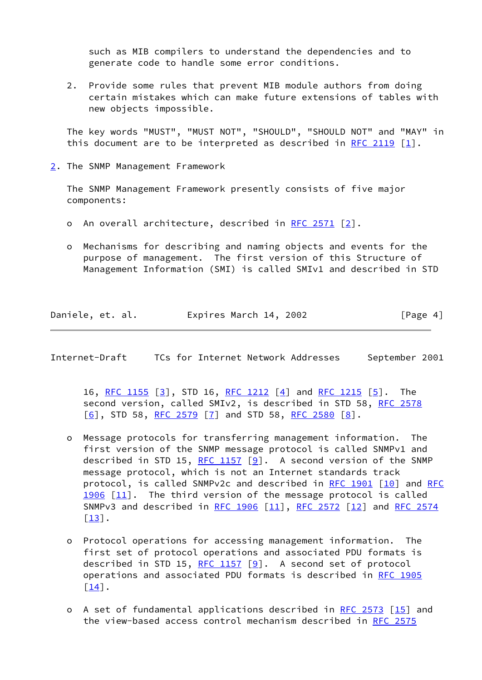such as MIB compilers to understand the dependencies and to generate code to handle some error conditions.

 2. Provide some rules that prevent MIB module authors from doing certain mistakes which can make future extensions of tables with new objects impossible.

 The key words "MUST", "MUST NOT", "SHOULD", "SHOULD NOT" and "MAY" in this document are to be interpreted as described in [RFC 2119](https://datatracker.ietf.org/doc/pdf/rfc2119)  $\lceil 1 \rceil$ .

<span id="page-4-0"></span>[2](#page-4-0). The SNMP Management Framework

 The SNMP Management Framework presently consists of five major components:

- o An overall architecture, described in [RFC 2571](https://datatracker.ietf.org/doc/pdf/rfc2571) [[2\]](#page-18-2).
- o Mechanisms for describing and naming objects and events for the purpose of management. The first version of this Structure of Management Information (SMI) is called SMIv1 and described in STD

Daniele, et. al. Expires March 14, 2002 [Page 4]

<span id="page-4-1"></span>Internet-Draft TCs for Internet Network Addresses September 2001

16, [RFC 1155](https://datatracker.ietf.org/doc/pdf/rfc1155) [\[3](#page-18-3)], STD 16, [RFC 1212](https://datatracker.ietf.org/doc/pdf/rfc1212) [[4\]](#page-18-4) and [RFC 1215](https://datatracker.ietf.org/doc/pdf/rfc1215) [\[5](#page-18-5)]. The second version, called SMIv2, is described in STD 58, [RFC 2578](https://datatracker.ietf.org/doc/pdf/rfc2578)  $[6]$  $[6]$ , STD 58, [RFC 2579](https://datatracker.ietf.org/doc/pdf/rfc2579)  $[7]$  and STD 58, [RFC 2580](https://datatracker.ietf.org/doc/pdf/rfc2580)  $[8]$  $[8]$ .

- o Message protocols for transferring management information. The first version of the SNMP message protocol is called SNMPv1 and described in STD 15, [RFC 1157](https://datatracker.ietf.org/doc/pdf/rfc1157)  $[9]$ . A second version of the SNMP message protocol, which is not an Internet standards track protocol, is called SNMPv2c and described in [RFC 1901](https://datatracker.ietf.org/doc/pdf/rfc1901) [\[10\]](#page-19-4) and [RFC](https://datatracker.ietf.org/doc/pdf/rfc1906) [1906](https://datatracker.ietf.org/doc/pdf/rfc1906) [\[11\]](#page-19-5). The third version of the message protocol is called SNMPv3 and described in [RFC 1906](https://datatracker.ietf.org/doc/pdf/rfc1906) [\[11\]](#page-19-5), [RFC 2572](https://datatracker.ietf.org/doc/pdf/rfc2572) [[12\]](#page-19-6) and [RFC 2574](https://datatracker.ietf.org/doc/pdf/rfc2574)  $\left[\underline{13}\right]$ .
- o Protocol operations for accessing management information. The first set of protocol operations and associated PDU formats is described in STD 15, [RFC 1157](https://datatracker.ietf.org/doc/pdf/rfc1157) [\[9\]](#page-19-3). A second set of protocol operations and associated PDU formats is described in [RFC 1905](https://datatracker.ietf.org/doc/pdf/rfc1905) [[14\]](#page-19-8).
- o A set of fundamental applications described in [RFC 2573](https://datatracker.ietf.org/doc/pdf/rfc2573) [[15\]](#page-19-9) and the view-based access control mechanism described in [RFC 2575](https://datatracker.ietf.org/doc/pdf/rfc2575)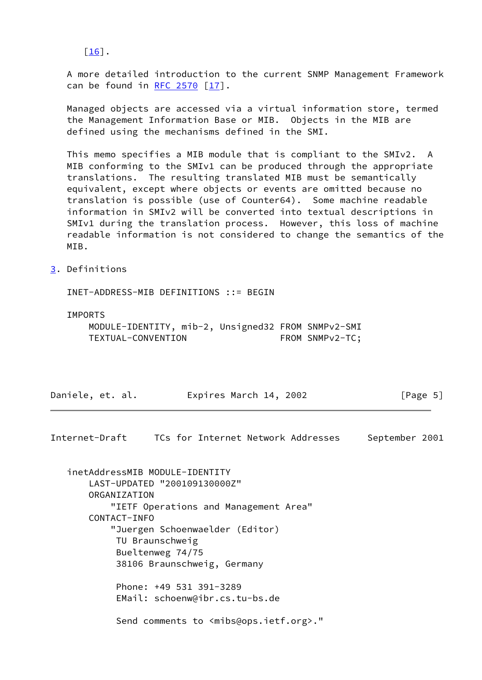$\lceil \underline{16} \rceil$ .

 A more detailed introduction to the current SNMP Management Framework can be found in  $RFC$  2570  $[17]$ .

 Managed objects are accessed via a virtual information store, termed the Management Information Base or MIB. Objects in the MIB are defined using the mechanisms defined in the SMI.

 This memo specifies a MIB module that is compliant to the SMIv2. A MIB conforming to the SMIv1 can be produced through the appropriate translations. The resulting translated MIB must be semantically equivalent, except where objects or events are omitted because no translation is possible (use of Counter64). Some machine readable information in SMIv2 will be converted into textual descriptions in SMIv1 during the translation process. However, this loss of machine readable information is not considered to change the semantics of the MIB.

<span id="page-5-0"></span>[3](#page-5-0). Definitions

INET-ADDRESS-MIB DEFINITIONS ::= BEGIN

IMPORTS

 MODULE-IDENTITY, mib-2, Unsigned32 FROM SNMPv2-SMI TEXTUAL-CONVENTION FROM SNMPv2-TC;

Daniele, et. al. Expires March 14, 2002 [Page 5]

Internet-Draft TCs for Internet Network Addresses September 2001

 inetAddressMIB MODULE-IDENTITY LAST-UPDATED "200109130000Z" ORGANIZATION "IETF Operations and Management Area" CONTACT-INFO "Juergen Schoenwaelder (Editor) TU Braunschweig Bueltenweg 74/75 38106 Braunschweig, Germany Phone: +49 531 391-3289 EMail: schoenw@ibr.cs.tu-bs.de Send comments to <mibs@ops.ietf.org>."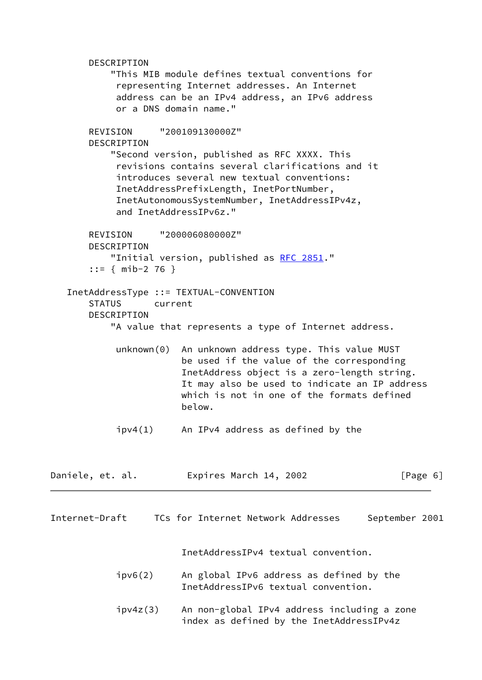DESCRIPTION "This MIB module defines textual conventions for representing Internet addresses. An Internet address can be an IPv4 address, an IPv6 address or a DNS domain name." REVISION "200109130000Z" DESCRIPTION "Second version, published as RFC XXXX. This revisions contains several clarifications and it introduces several new textual conventions: InetAddressPrefixLength, InetPortNumber, InetAutonomousSystemNumber, InetAddressIPv4z, and InetAddressIPv6z." REVISION "200006080000Z" DESCRIPTION "Initial version, published as [RFC 2851.](https://datatracker.ietf.org/doc/pdf/rfc2851)" ::= { mib-2 76 } InetAddressType ::= TEXTUAL-CONVENTION STATUS current DESCRIPTION "A value that represents a type of Internet address. unknown(0) An unknown address type. This value MUST be used if the value of the corresponding InetAddress object is a zero-length string. It may also be used to indicate an IP address which is not in one of the formats defined below. ipv4(1) An IPv4 address as defined by the Daniele, et. al. Expires March 14, 2002 [Page 6] Internet-Draft TCs for Internet Network Addresses September 2001 InetAddressIPv4 textual convention. ipv6(2) An global IPv6 address as defined by the InetAddressIPv6 textual convention. ipv4z(3) An non-global IPv4 address including a zone index as defined by the InetAddressIPv4z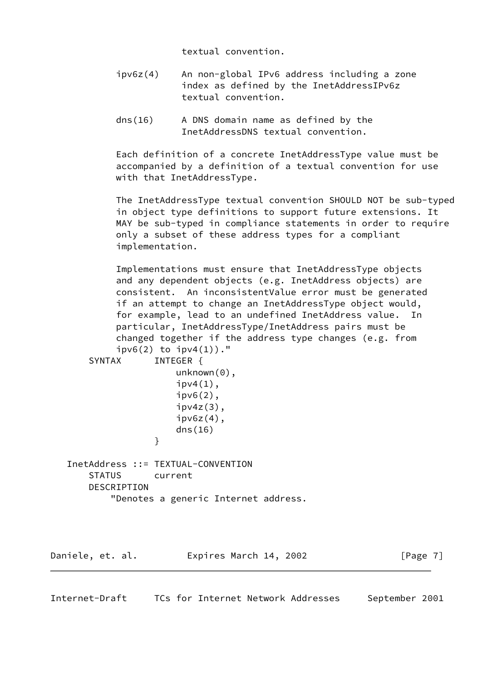textual convention.

- ipv6z(4) An non-global IPv6 address including a zone index as defined by the InetAddressIPv6z textual convention.
- dns(16) A DNS domain name as defined by the InetAddressDNS textual convention.

 Each definition of a concrete InetAddressType value must be accompanied by a definition of a textual convention for use with that InetAddressType.

 The InetAddressType textual convention SHOULD NOT be sub-typed in object type definitions to support future extensions. It MAY be sub-typed in compliance statements in order to require only a subset of these address types for a compliant implementation.

 Implementations must ensure that InetAddressType objects and any dependent objects (e.g. InetAddress objects) are consistent. An inconsistentValue error must be generated if an attempt to change an InetAddressType object would, for example, lead to an undefined InetAddress value. In particular, InetAddressType/InetAddress pairs must be changed together if the address type changes (e.g. from

|                                    | $ipv6(2)$ to $ipv4(1)$ )."           |
|------------------------------------|--------------------------------------|
| SYNTAX                             | INTEGER {                            |
|                                    | $unknown(0)$ ,                       |
|                                    | $ipv4(1)$ ,                          |
|                                    | $ipv6(2)$ ,                          |
|                                    | $ipv4z(3)$ ,                         |
|                                    | $ipv6z(4)$ ,                         |
|                                    | dns(16)                              |
| }                                  |                                      |
|                                    |                                      |
| InetAddress ::= TEXTUAL-CONVENTION |                                      |
| STATUS current                     |                                      |
| DESCRIPTION                        |                                      |
|                                    | "Denotes a generic Internet address. |
|                                    |                                      |
|                                    |                                      |

Daniele, et. al. Expires March 14, 2002 [Page 7]

Internet-Draft TCs for Internet Network Addresses September 2001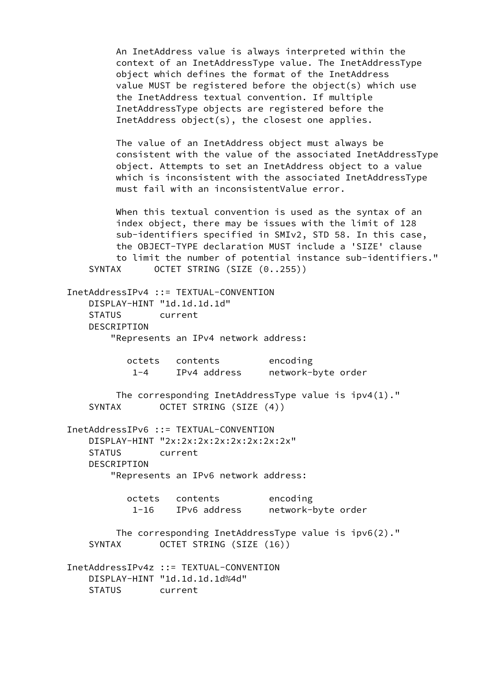An InetAddress value is always interpreted within the context of an InetAddressType value. The InetAddressType object which defines the format of the InetAddress value MUST be registered before the object(s) which use the InetAddress textual convention. If multiple InetAddressType objects are registered before the InetAddress object(s), the closest one applies.

 The value of an InetAddress object must always be consistent with the value of the associated InetAddressType object. Attempts to set an InetAddress object to a value which is inconsistent with the associated InetAddressType must fail with an inconsistentValue error.

 When this textual convention is used as the syntax of an index object, there may be issues with the limit of 128 sub-identifiers specified in SMIv2, STD 58. In this case, the OBJECT-TYPE declaration MUST include a 'SIZE' clause to limit the number of potential instance sub-identifiers." SYNTAX OCTET STRING (SIZE (0..255))

 InetAddressIPv4 ::= TEXTUAL-CONVENTION DISPLAY-HINT "1d.1d.1d.1d" STATUS current DESCRIPTION "Represents an IPv4 network address:

> octets contents encoding 1-4 IPv4 address network-byte order

 The corresponding InetAddressType value is ipv4(1)." SYNTAX OCTET STRING (SIZE (4))

 InetAddressIPv6 ::= TEXTUAL-CONVENTION DISPLAY-HINT "2x:2x:2x:2x:2x:2x:2x:2x" STATUS current DESCRIPTION "Represents an IPv6 network address:

|      | octets contents |              | encoding           |  |
|------|-----------------|--------------|--------------------|--|
| 1-16 |                 | IPv6 address | network-byte order |  |

 The corresponding InetAddressType value is ipv6(2)." SYNTAX OCTET STRING (SIZE (16))

 InetAddressIPv4z ::= TEXTUAL-CONVENTION DISPLAY-HINT "1d.1d.1d.1d%4d" STATUS current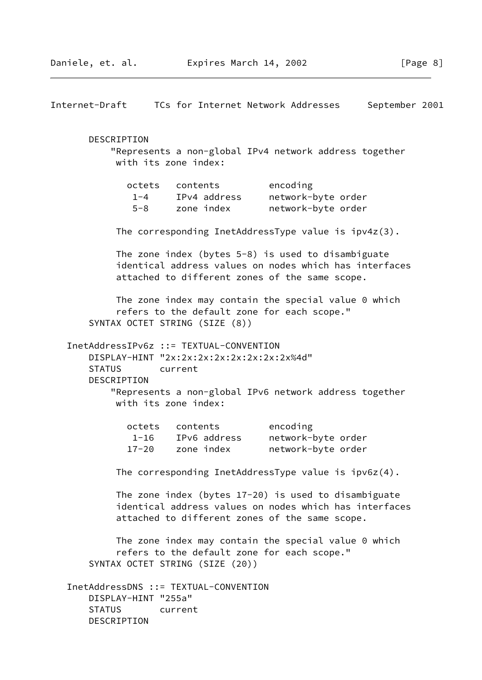|               |                                                                                                                                |         |                                                          |                                                                                                                                                                     | September 2001 |  |
|---------------|--------------------------------------------------------------------------------------------------------------------------------|---------|----------------------------------------------------------|---------------------------------------------------------------------------------------------------------------------------------------------------------------------|----------------|--|
|               | <b>DESCRIPTION</b><br>with its zone index:                                                                                     |         |                                                          | "Represents a non-global IPv4 network address together                                                                                                              |                |  |
|               | $1 - 4$                                                                                                                        |         | octets contents<br>IPv4 address<br>5-8 zone index        | encoding<br>network-byte order<br>network-byte order                                                                                                                |                |  |
|               |                                                                                                                                |         |                                                          | The corresponding InetAddressType value is $ipv4z(3)$ .                                                                                                             |                |  |
|               |                                                                                                                                |         |                                                          | The zone index (bytes 5-8) is used to disambiguate<br>identical address values on nodes which has interfaces<br>attached to different zones of the same scope.      |                |  |
|               | SYNTAX OCTET STRING (SIZE (8))                                                                                                 |         |                                                          | The zone index may contain the special value $0$ which<br>refers to the default zone for each scope."                                                               |                |  |
| <b>STATUS</b> | InetAddressIPv6z ::= TEXTUAL-CONVENTION<br>DISPLAY-HINT "2x:2x:2x:2x:2x:2x:2x:2x:2x%4d"<br>DESCRIPTION<br>with its zone index: | current |                                                          | "Represents a non-global IPv6 network address together                                                                                                              |                |  |
|               |                                                                                                                                |         | octets contents<br>1-16 IPv6 address<br>17-20 zone index | encoding<br>network-byte order<br>network-byte order                                                                                                                |                |  |
|               |                                                                                                                                |         |                                                          | The corresponding InetAddressType value is $ipv6z(4)$ .                                                                                                             |                |  |
|               |                                                                                                                                |         |                                                          | The zone index (bytes $17-20$ ) is used to disambiguate<br>identical address values on nodes which has interfaces<br>attached to different zones of the same scope. |                |  |
|               | SYNTAX OCTET STRING (SIZE (20))                                                                                                |         |                                                          | The zone index may contain the special value 0 which<br>refers to the default zone for each scope."                                                                 |                |  |
|               | InetAddressDNS ::= TEXTUAL-CONVENTION<br>DISPLAY-HINT "255a"<br>STATUS current<br>DESCRIPTION                                  |         |                                                          |                                                                                                                                                                     |                |  |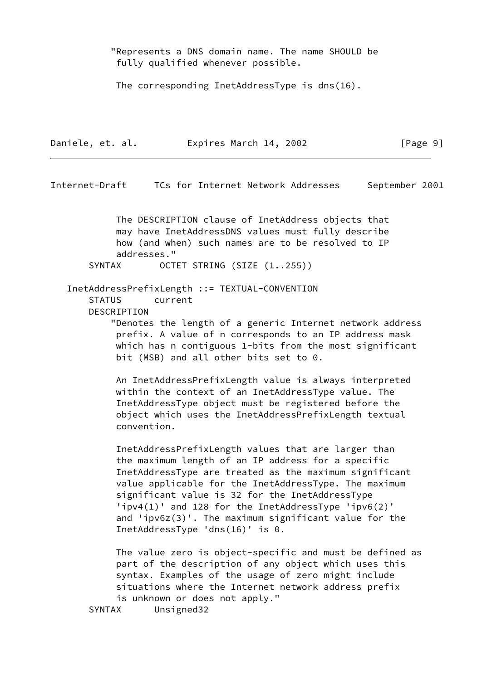"Represents a DNS domain name. The name SHOULD be fully qualified whenever possible.

The corresponding InetAddressType is dns(16).

Internet-Draft TCs for Internet Network Addresses September 2001

 $\lceil \text{Page 9} \rceil$ 

 The DESCRIPTION clause of InetAddress objects that may have InetAddressDNS values must fully describe how (and when) such names are to be resolved to IP addresses."

SYNTAX OCTET STRING (SIZE (1..255))

 InetAddressPrefixLength ::= TEXTUAL-CONVENTION STATUS current **DESCRIPTION** 

> "Denotes the length of a generic Internet network address prefix. A value of n corresponds to an IP address mask which has n contiguous 1-bits from the most significant bit (MSB) and all other bits set to 0.

 An InetAddressPrefixLength value is always interpreted within the context of an InetAddressType value. The InetAddressType object must be registered before the object which uses the InetAddressPrefixLength textual convention.

 InetAddressPrefixLength values that are larger than the maximum length of an IP address for a specific InetAddressType are treated as the maximum significant value applicable for the InetAddressType. The maximum significant value is 32 for the InetAddressType 'ipv4(1)' and 128 for the InetAddressType 'ipv6(2)' and 'ipv6z(3)'. The maximum significant value for the InetAddressType 'dns(16)' is 0.

 The value zero is object-specific and must be defined as part of the description of any object which uses this syntax. Examples of the usage of zero might include situations where the Internet network address prefix is unknown or does not apply."

SYNTAX Unsigned32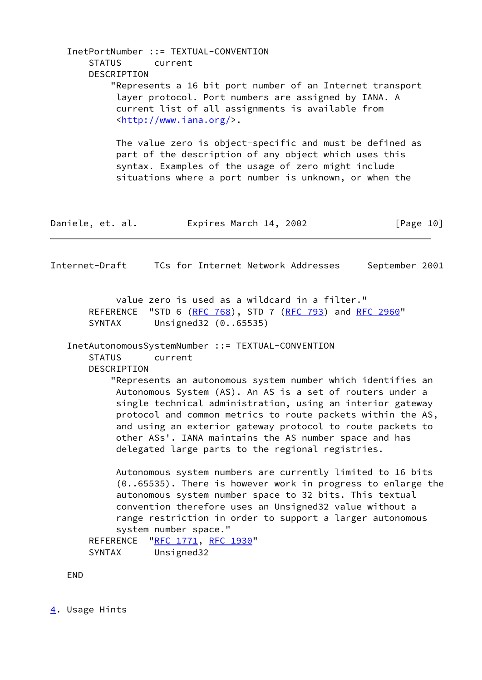<span id="page-11-1"></span> InetPortNumber ::= TEXTUAL-CONVENTION STATUS current DESCRIPTION "Represents a 16 bit port number of an Internet transport layer protocol. Port numbers are assigned by IANA. A current list of all assignments is available from [<http://www.iana.org/](http://www.iana.org/)>. The value zero is object-specific and must be defined as part of the description of any object which uses this syntax. Examples of the usage of zero might include situations where a port number is unknown, or when the Daniele, et. al. Expires March 14, 2002 [Page 10] Internet-Draft TCs for Internet Network Addresses September 2001 value zero is used as a wildcard in a filter." REFERENCE "STD 6 ([RFC 768](https://datatracker.ietf.org/doc/pdf/rfc768)), STD 7 [\(RFC 793](https://datatracker.ietf.org/doc/pdf/rfc793)) and [RFC 2960](https://datatracker.ietf.org/doc/pdf/rfc2960)" SYNTAX Unsigned32 (0..65535) InetAutonomousSystemNumber ::= TEXTUAL-CONVENTION STATUS current DESCRIPTION "Represents an autonomous system number which identifies an Autonomous System (AS). An AS is a set of routers under a single technical administration, using an interior gateway protocol and common metrics to route packets within the AS, and using an exterior gateway protocol to route packets to other ASs'. IANA maintains the AS number space and has delegated large parts to the regional registries. Autonomous system numbers are currently limited to 16 bits (0..65535). There is however work in progress to enlarge the autonomous system number space to 32 bits. This textual convention therefore uses an Unsigned32 value without a range restriction in order to support a larger autonomous system number space." REFERENCE ["RFC 1771](https://datatracker.ietf.org/doc/pdf/rfc1771), [RFC 1930](https://datatracker.ietf.org/doc/pdf/rfc1930)" SYNTAX Unsigned32 END

<span id="page-11-0"></span>[4](#page-11-0). Usage Hints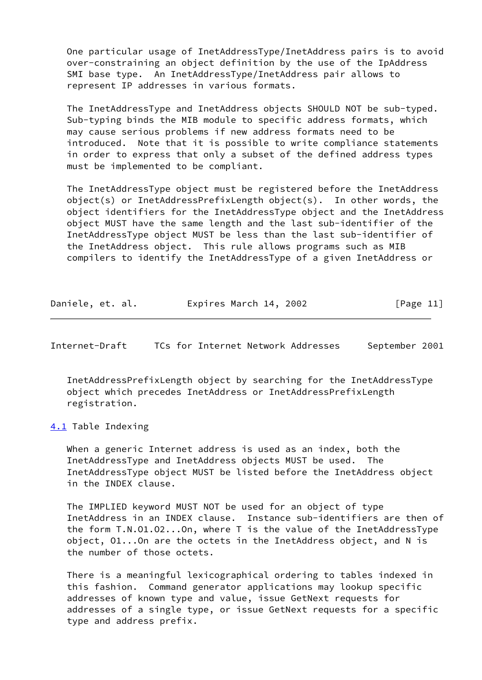One particular usage of InetAddressType/InetAddress pairs is to avoid over-constraining an object definition by the use of the IpAddress SMI base type. An InetAddressType/InetAddress pair allows to represent IP addresses in various formats.

 The InetAddressType and InetAddress objects SHOULD NOT be sub-typed. Sub-typing binds the MIB module to specific address formats, which may cause serious problems if new address formats need to be introduced. Note that it is possible to write compliance statements in order to express that only a subset of the defined address types must be implemented to be compliant.

 The InetAddressType object must be registered before the InetAddress object(s) or InetAddressPrefixLength object(s). In other words, the object identifiers for the InetAddressType object and the InetAddress object MUST have the same length and the last sub-identifier of the InetAddressType object MUST be less than the last sub-identifier of the InetAddress object. This rule allows programs such as MIB compilers to identify the InetAddressType of a given InetAddress or

| Daniele, et. al. | Expires March 14, 2002 | [Page 11] |
|------------------|------------------------|-----------|
|------------------|------------------------|-----------|

<span id="page-12-1"></span>Internet-Draft TCs for Internet Network Addresses September 2001

 InetAddressPrefixLength object by searching for the InetAddressType object which precedes InetAddress or InetAddressPrefixLength registration.

<span id="page-12-0"></span>[4.1](#page-12-0) Table Indexing

 When a generic Internet address is used as an index, both the InetAddressType and InetAddress objects MUST be used. The InetAddressType object MUST be listed before the InetAddress object in the INDEX clause.

 The IMPLIED keyword MUST NOT be used for an object of type InetAddress in an INDEX clause. Instance sub-identifiers are then of the form T.N.O1.O2...On, where T is the value of the InetAddressType object, O1...On are the octets in the InetAddress object, and N is the number of those octets.

 There is a meaningful lexicographical ordering to tables indexed in this fashion. Command generator applications may lookup specific addresses of known type and value, issue GetNext requests for addresses of a single type, or issue GetNext requests for a specific type and address prefix.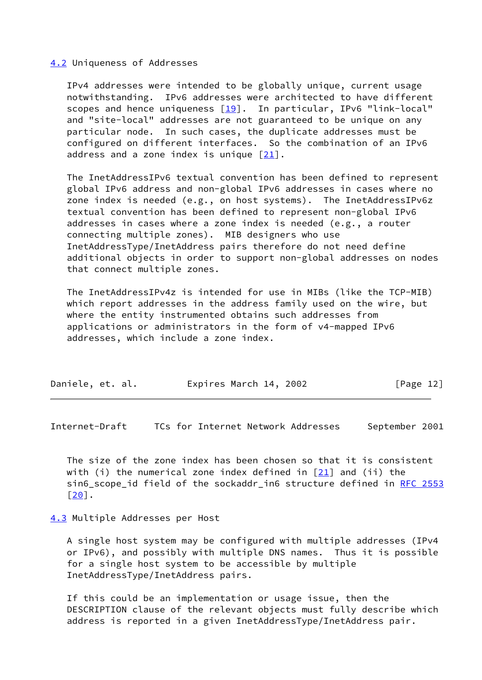### <span id="page-13-0"></span>[4.2](#page-13-0) Uniqueness of Addresses

 IPv4 addresses were intended to be globally unique, current usage notwithstanding. IPv6 addresses were architected to have different scopes and hence uniqueness  $[19]$ . In particular, IPv6 "link-local" and "site-local" addresses are not guaranteed to be unique on any particular node. In such cases, the duplicate addresses must be configured on different interfaces. So the combination of an IPv6 address and a zone index is unique  $\lceil 21 \rceil$ .

 The InetAddressIPv6 textual convention has been defined to represent global IPv6 address and non-global IPv6 addresses in cases where no zone index is needed (e.g., on host systems). The InetAddressIPv6z textual convention has been defined to represent non-global IPv6 addresses in cases where a zone index is needed (e.g., a router connecting multiple zones). MIB designers who use InetAddressType/InetAddress pairs therefore do not need define additional objects in order to support non-global addresses on nodes that connect multiple zones.

 The InetAddressIPv4z is intended for use in MIBs (like the TCP-MIB) which report addresses in the address family used on the wire, but where the entity instrumented obtains such addresses from applications or administrators in the form of v4-mapped IPv6 addresses, which include a zone index.

| Daniele, et. al. | Expires March 14, 2002 | [Page 12] |
|------------------|------------------------|-----------|
|------------------|------------------------|-----------|

<span id="page-13-2"></span>Internet-Draft TCs for Internet Network Addresses September 2001

 The size of the zone index has been chosen so that it is consistent with (i) the numerical zone index defined in  $[21]$  and (ii) the sin6\_scope\_id field of the sockaddr\_in6 structure defined in [RFC 2553](https://datatracker.ietf.org/doc/pdf/rfc2553) [\[20\]](#page-20-4).

<span id="page-13-1"></span>[4.3](#page-13-1) Multiple Addresses per Host

 A single host system may be configured with multiple addresses (IPv4 or IPv6), and possibly with multiple DNS names. Thus it is possible for a single host system to be accessible by multiple InetAddressType/InetAddress pairs.

 If this could be an implementation or usage issue, then the DESCRIPTION clause of the relevant objects must fully describe which address is reported in a given InetAddressType/InetAddress pair.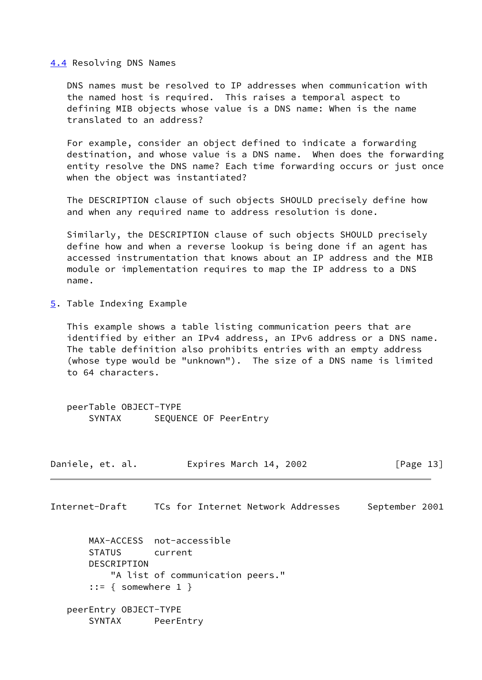#### <span id="page-14-0"></span>[4.4](#page-14-0) Resolving DNS Names

 DNS names must be resolved to IP addresses when communication with the named host is required. This raises a temporal aspect to defining MIB objects whose value is a DNS name: When is the name translated to an address?

 For example, consider an object defined to indicate a forwarding destination, and whose value is a DNS name. When does the forwarding entity resolve the DNS name? Each time forwarding occurs or just once when the object was instantiated?

 The DESCRIPTION clause of such objects SHOULD precisely define how and when any required name to address resolution is done.

 Similarly, the DESCRIPTION clause of such objects SHOULD precisely define how and when a reverse lookup is being done if an agent has accessed instrumentation that knows about an IP address and the MIB module or implementation requires to map the IP address to a DNS name.

<span id="page-14-1"></span>[5](#page-14-1). Table Indexing Example

 This example shows a table listing communication peers that are identified by either an IPv4 address, an IPv6 address or a DNS name. The table definition also prohibits entries with an empty address (whose type would be "unknown"). The size of a DNS name is limited to 64 characters.

 peerTable OBJECT-TYPE SYNTAX SEQUENCE OF PeerEntry

| Daniele, et. al. | Expires March 14, 2002 | [Page 13] |
|------------------|------------------------|-----------|
|------------------|------------------------|-----------|

Internet-Draft TCs for Internet Network Addresses September 2001

 MAX-ACCESS not-accessible STATUS current DESCRIPTION "A list of communication peers."  $::=$  { somewhere 1 } peerEntry OBJECT-TYPE SYNTAX PeerEntry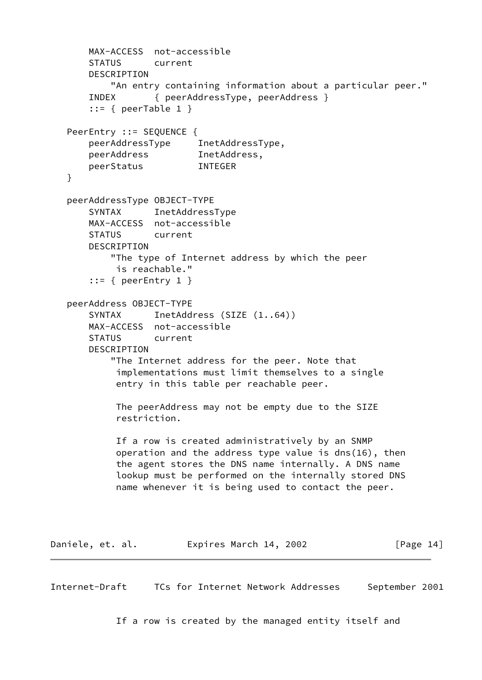```
 MAX-ACCESS not-accessible
       STATUS current
       DESCRIPTION
           "An entry containing information about a particular peer."
       INDEX { peerAddressType, peerAddress }
       ::= { peerTable 1 }
   PeerEntry ::= SEQUENCE {
 peerAddressType InetAddressType,
 peerAddress InetAddress,
       peerStatus INTEGER
   }
   peerAddressType OBJECT-TYPE
       SYNTAX InetAddressType
       MAX-ACCESS not-accessible
       STATUS current
       DESCRIPTION
           "The type of Internet address by which the peer
            is reachable."
      ::= { peerEntry 1 }
   peerAddress OBJECT-TYPE
      SYNTAX InetAddress (SIZE (1..64))
       MAX-ACCESS not-accessible
       STATUS current
       DESCRIPTION
           "The Internet address for the peer. Note that
            implementations must limit themselves to a single
            entry in this table per reachable peer.
            The peerAddress may not be empty due to the SIZE
            restriction.
            If a row is created administratively by an SNMP
            operation and the address type value is dns(16), then
            the agent stores the DNS name internally. A DNS name
            lookup must be performed on the internally stored DNS
            name whenever it is being used to contact the peer.
Daniele, et. al. Expires March 14, 2002 [Page 14]
Internet-Draft TCs for Internet Network Addresses September 2001
```
<span id="page-15-0"></span>If a row is created by the managed entity itself and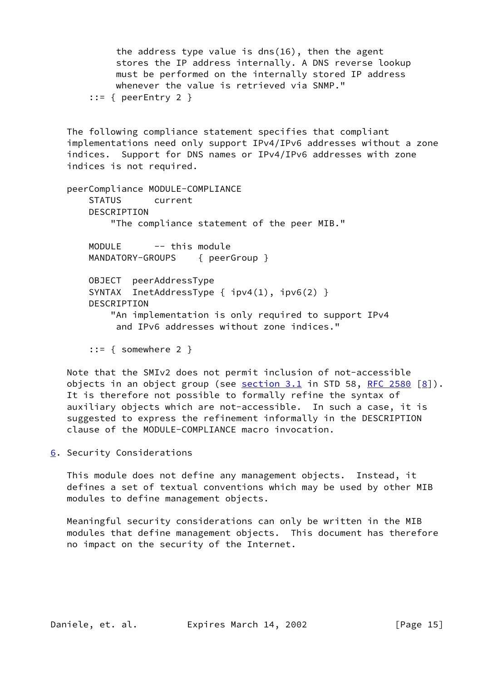the address type value is dns(16), then the agent stores the IP address internally. A DNS reverse lookup must be performed on the internally stored IP address whenever the value is retrieved via SNMP."  $::=$  { peerEntry 2 } The following compliance statement specifies that compliant implementations need only support IPv4/IPv6 addresses without a zone indices. Support for DNS names or IPv4/IPv6 addresses with zone indices is not required. peerCompliance MODULE-COMPLIANCE STATUS current DESCRIPTION "The compliance statement of the peer MIB." MODULE -- this module MANDATORY-GROUPS { peerGroup } OBJECT peerAddressType SYNTAX InetAddressType {  $ipv4(1)$ ,  $ipv6(2)$  } DESCRIPTION "An implementation is only required to support IPv4 and IPv6 addresses without zone indices." ::= { somewhere 2 }

 Note that the SMIv2 does not permit inclusion of not-accessible objects in an object group (see  $section 3.1$  in STD 58, [RFC 2580](https://datatracker.ietf.org/doc/pdf/rfc2580)  $[8]$  $[8]$ ). It is therefore not possible to formally refine the syntax of auxiliary objects which are not-accessible. In such a case, it is suggested to express the refinement informally in the DESCRIPTION clause of the MODULE-COMPLIANCE macro invocation.

<span id="page-16-0"></span>[6](#page-16-0). Security Considerations

 This module does not define any management objects. Instead, it defines a set of textual conventions which may be used by other MIB modules to define management objects.

 Meaningful security considerations can only be written in the MIB modules that define management objects. This document has therefore no impact on the security of the Internet.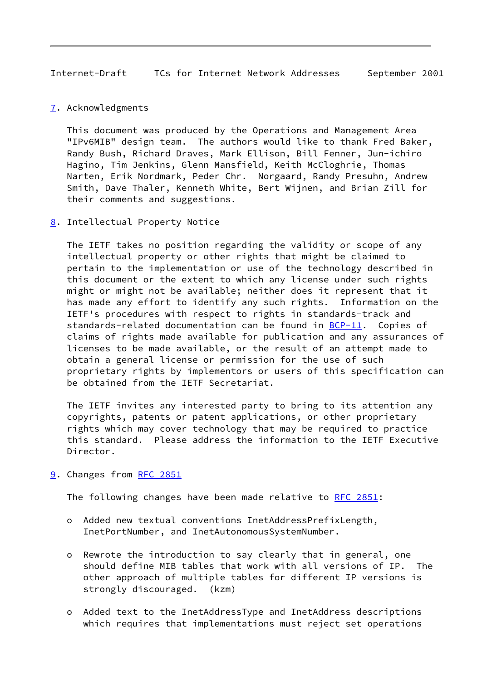<span id="page-17-1"></span>Internet-Draft TCs for Internet Network Addresses September 2001

<span id="page-17-0"></span>[7](#page-17-0). Acknowledgments

 This document was produced by the Operations and Management Area "IPv6MIB" design team. The authors would like to thank Fred Baker, Randy Bush, Richard Draves, Mark Ellison, Bill Fenner, Jun-ichiro Hagino, Tim Jenkins, Glenn Mansfield, Keith McCloghrie, Thomas Narten, Erik Nordmark, Peder Chr. Norgaard, Randy Presuhn, Andrew Smith, Dave Thaler, Kenneth White, Bert Wijnen, and Brian Zill for their comments and suggestions.

<span id="page-17-2"></span>[8](#page-17-2). Intellectual Property Notice

 The IETF takes no position regarding the validity or scope of any intellectual property or other rights that might be claimed to pertain to the implementation or use of the technology described in this document or the extent to which any license under such rights might or might not be available; neither does it represent that it has made any effort to identify any such rights. Information on the IETF's procedures with respect to rights in standards-track and standards-related documentation can be found in  $BCP-11$ . Copies of claims of rights made available for publication and any assurances of licenses to be made available, or the result of an attempt made to obtain a general license or permission for the use of such proprietary rights by implementors or users of this specification can be obtained from the IETF Secretariat.

 The IETF invites any interested party to bring to its attention any copyrights, patents or patent applications, or other proprietary rights which may cover technology that may be required to practice this standard. Please address the information to the IETF Executive Director.

<span id="page-17-3"></span>[9](#page-17-3). Changes from [RFC 2851](https://datatracker.ietf.org/doc/pdf/rfc2851)

The following changes have been made relative to [RFC 2851](https://datatracker.ietf.org/doc/pdf/rfc2851):

- o Added new textual conventions InetAddressPrefixLength, InetPortNumber, and InetAutonomousSystemNumber.
- o Rewrote the introduction to say clearly that in general, one should define MIB tables that work with all versions of IP. The other approach of multiple tables for different IP versions is strongly discouraged. (kzm)
- o Added text to the InetAddressType and InetAddress descriptions which requires that implementations must reject set operations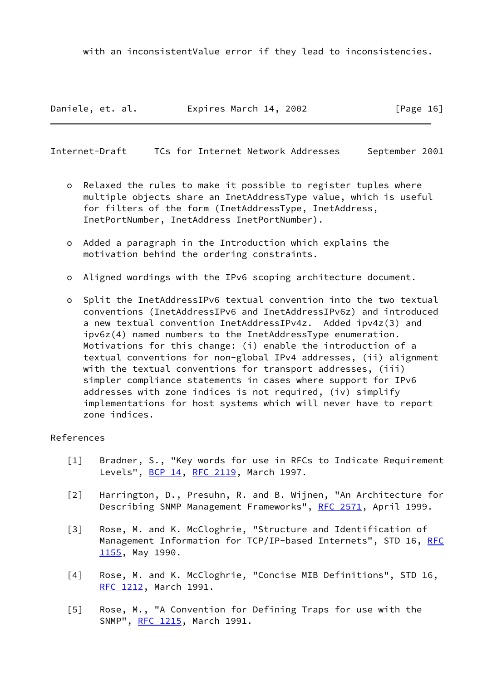with an inconsistentValue error if they lead to inconsistencies.

Daniele, et. al. **Expires March 14, 2002** [Page 16]

<span id="page-18-0"></span>Internet-Draft TCs for Internet Network Addresses September 2001

- o Relaxed the rules to make it possible to register tuples where multiple objects share an InetAddressType value, which is useful for filters of the form (InetAddressType, InetAddress, InetPortNumber, InetAddress InetPortNumber).
- o Added a paragraph in the Introduction which explains the motivation behind the ordering constraints.
- o Aligned wordings with the IPv6 scoping architecture document.
- o Split the InetAddressIPv6 textual convention into the two textual conventions (InetAddressIPv6 and InetAddressIPv6z) and introduced a new textual convention InetAddressIPv4z. Added ipv4z(3) and ipv6z(4) named numbers to the InetAddressType enumeration. Motivations for this change: (i) enable the introduction of a textual conventions for non-global IPv4 addresses, (ii) alignment with the textual conventions for transport addresses, (iii) simpler compliance statements in cases where support for IPv6 addresses with zone indices is not required, (iv) simplify implementations for host systems which will never have to report zone indices.

## References

- <span id="page-18-1"></span>[1] Bradner, S., "Key words for use in RFCs to Indicate Requirement Levels", [BCP 14](https://datatracker.ietf.org/doc/pdf/bcp14), [RFC 2119,](https://datatracker.ietf.org/doc/pdf/rfc2119) March 1997.
- <span id="page-18-2"></span> [2] Harrington, D., Presuhn, R. and B. Wijnen, "An Architecture for Describing SNMP Management Frameworks", [RFC 2571](https://datatracker.ietf.org/doc/pdf/rfc2571), April 1999.
- <span id="page-18-3"></span> [3] Rose, M. and K. McCloghrie, "Structure and Identification of Management Information for TCP/IP-based Internets", STD 16, [RFC](https://datatracker.ietf.org/doc/pdf/rfc1155) [1155](https://datatracker.ietf.org/doc/pdf/rfc1155), May 1990.
- <span id="page-18-4"></span> [4] Rose, M. and K. McCloghrie, "Concise MIB Definitions", STD 16, [RFC 1212](https://datatracker.ietf.org/doc/pdf/rfc1212), March 1991.
- <span id="page-18-5"></span> [5] Rose, M., "A Convention for Defining Traps for use with the SNMP", [RFC 1215](https://datatracker.ietf.org/doc/pdf/rfc1215), March 1991.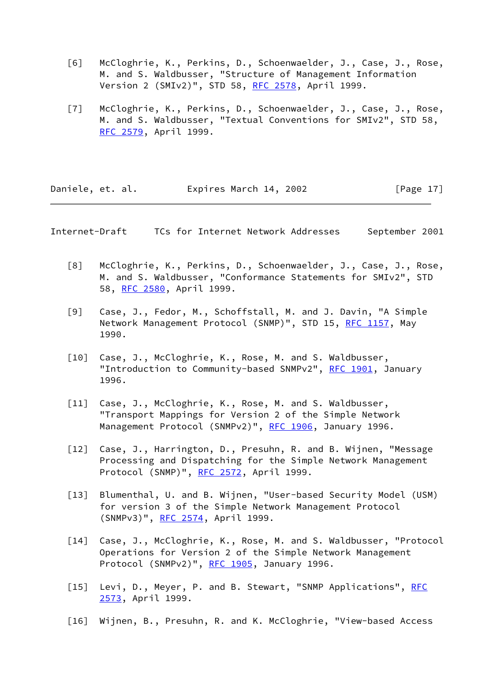- <span id="page-19-0"></span> [6] McCloghrie, K., Perkins, D., Schoenwaelder, J., Case, J., Rose, M. and S. Waldbusser, "Structure of Management Information Version 2 (SMIv2)", STD 58, [RFC 2578](https://datatracker.ietf.org/doc/pdf/rfc2578), April 1999.
- <span id="page-19-1"></span>[7] McCloghrie, K., Perkins, D., Schoenwaelder, J., Case, J., Rose, M. and S. Waldbusser, "Textual Conventions for SMIv2", STD 58, [RFC 2579](https://datatracker.ietf.org/doc/pdf/rfc2579), April 1999.

| Daniele, et. al. | Expires March 14, 2002 | [Page $17$ ] |
|------------------|------------------------|--------------|
|------------------|------------------------|--------------|

Internet-Draft TCs for Internet Network Addresses September 2001

- <span id="page-19-2"></span> [8] McCloghrie, K., Perkins, D., Schoenwaelder, J., Case, J., Rose, M. and S. Waldbusser, "Conformance Statements for SMIv2", STD 58, [RFC 2580](https://datatracker.ietf.org/doc/pdf/rfc2580), April 1999.
- <span id="page-19-3"></span> [9] Case, J., Fedor, M., Schoffstall, M. and J. Davin, "A Simple Network Management Protocol (SNMP)", STD 15, [RFC 1157,](https://datatracker.ietf.org/doc/pdf/rfc1157) May 1990.
- <span id="page-19-4"></span> [10] Case, J., McCloghrie, K., Rose, M. and S. Waldbusser, "Introduction to Community-based SNMPv2", [RFC 1901](https://datatracker.ietf.org/doc/pdf/rfc1901), January 1996.
- <span id="page-19-5"></span> [11] Case, J., McCloghrie, K., Rose, M. and S. Waldbusser, "Transport Mappings for Version 2 of the Simple Network Management Protocol (SNMPv2)", [RFC 1906](https://datatracker.ietf.org/doc/pdf/rfc1906), January 1996.
- <span id="page-19-6"></span>[12] Case, J., Harrington, D., Presuhn, R. and B. Wijnen, "Message Processing and Dispatching for the Simple Network Management Protocol (SNMP)", [RFC 2572](https://datatracker.ietf.org/doc/pdf/rfc2572), April 1999.
- <span id="page-19-7"></span> [13] Blumenthal, U. and B. Wijnen, "User-based Security Model (USM) for version 3 of the Simple Network Management Protocol (SNMPv3)", [RFC 2574](https://datatracker.ietf.org/doc/pdf/rfc2574), April 1999.
- <span id="page-19-8"></span> [14] Case, J., McCloghrie, K., Rose, M. and S. Waldbusser, "Protocol Operations for Version 2 of the Simple Network Management Protocol (SNMPv2)", [RFC 1905](https://datatracker.ietf.org/doc/pdf/rfc1905), January 1996.
- <span id="page-19-9"></span>[15] Levi, D., Meyer, P. and B. Stewart, "SNMP Applications", [RFC](https://datatracker.ietf.org/doc/pdf/rfc2573) [2573](https://datatracker.ietf.org/doc/pdf/rfc2573), April 1999.
- <span id="page-19-10"></span>[16] Wijnen, B., Presuhn, R. and K. McCloghrie, "View-based Access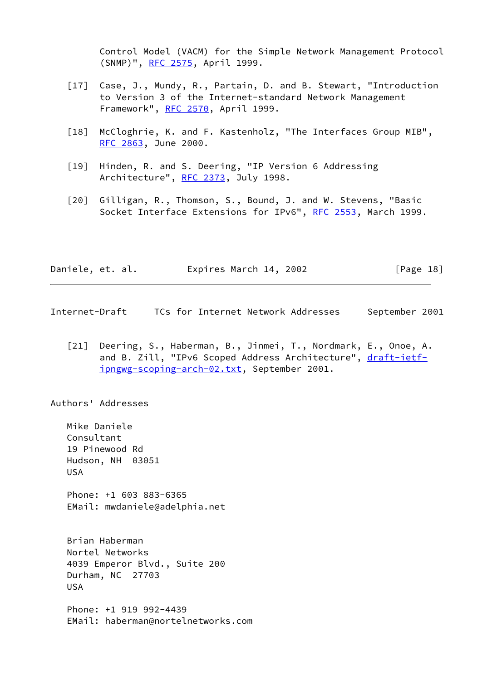Control Model (VACM) for the Simple Network Management Protocol (SNMP)", [RFC 2575,](https://datatracker.ietf.org/doc/pdf/rfc2575) April 1999.

- <span id="page-20-2"></span> [17] Case, J., Mundy, R., Partain, D. and B. Stewart, "Introduction to Version 3 of the Internet-standard Network Management Framework", [RFC 2570](https://datatracker.ietf.org/doc/pdf/rfc2570), April 1999.
- [18] McCloghrie, K. and F. Kastenholz, "The Interfaces Group MIB", [RFC 2863](https://datatracker.ietf.org/doc/pdf/rfc2863), June 2000.
- <span id="page-20-1"></span> [19] Hinden, R. and S. Deering, "IP Version 6 Addressing Architecture", [RFC 2373](https://datatracker.ietf.org/doc/pdf/rfc2373), July 1998.
- <span id="page-20-4"></span> [20] Gilligan, R., Thomson, S., Bound, J. and W. Stevens, "Basic Socket Interface Extensions for IPv6", [RFC 2553](https://datatracker.ietf.org/doc/pdf/rfc2553), March 1999.

| Daniele, et. al. | Expires March 14, 2002 | [Page 18] |
|------------------|------------------------|-----------|
|------------------|------------------------|-----------|

<span id="page-20-0"></span>Internet-Draft TCs for Internet Network Addresses September 2001

<span id="page-20-3"></span> [21] Deering, S., Haberman, B., Jinmei, T., Nordmark, E., Onoe, A. and B. Zill, "IPv6 Scoped Address Architecture", [draft-ietf](https://datatracker.ietf.org/doc/pdf/draft-ietf-ipngwg-scoping-arch-02.txt) [ipngwg-scoping-arch-02.txt,](https://datatracker.ietf.org/doc/pdf/draft-ietf-ipngwg-scoping-arch-02.txt) September 2001.

Authors' Addresses

 Mike Daniele Consultant 19 Pinewood Rd Hudson, NH 03051 USA

 Phone: +1 603 883-6365 EMail: mwdaniele@adelphia.net

 Brian Haberman Nortel Networks 4039 Emperor Blvd., Suite 200 Durham, NC 27703 USA

 Phone: +1 919 992-4439 EMail: haberman@nortelnetworks.com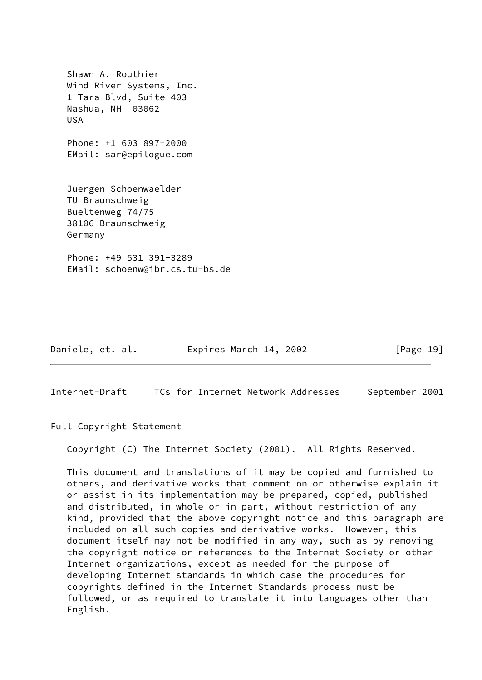Shawn A. Routhier Wind River Systems, Inc. 1 Tara Blvd, Suite 403 Nashua, NH 03062 USA Phone: +1 603 897-2000 EMail: sar@epilogue.com Juergen Schoenwaelder TU Braunschweig Bueltenweg 74/75 38106 Braunschweig Germany Phone: +49 531 391-3289

EMail: schoenw@ibr.cs.tu-bs.de

Daniele, et. al. Expires March 14, 2002 [Page 19]

<span id="page-21-0"></span>Internet-Draft TCs for Internet Network Addresses September 2001

Full Copyright Statement

Copyright (C) The Internet Society (2001). All Rights Reserved.

 This document and translations of it may be copied and furnished to others, and derivative works that comment on or otherwise explain it or assist in its implementation may be prepared, copied, published and distributed, in whole or in part, without restriction of any kind, provided that the above copyright notice and this paragraph are included on all such copies and derivative works. However, this document itself may not be modified in any way, such as by removing the copyright notice or references to the Internet Society or other Internet organizations, except as needed for the purpose of developing Internet standards in which case the procedures for copyrights defined in the Internet Standards process must be followed, or as required to translate it into languages other than English.